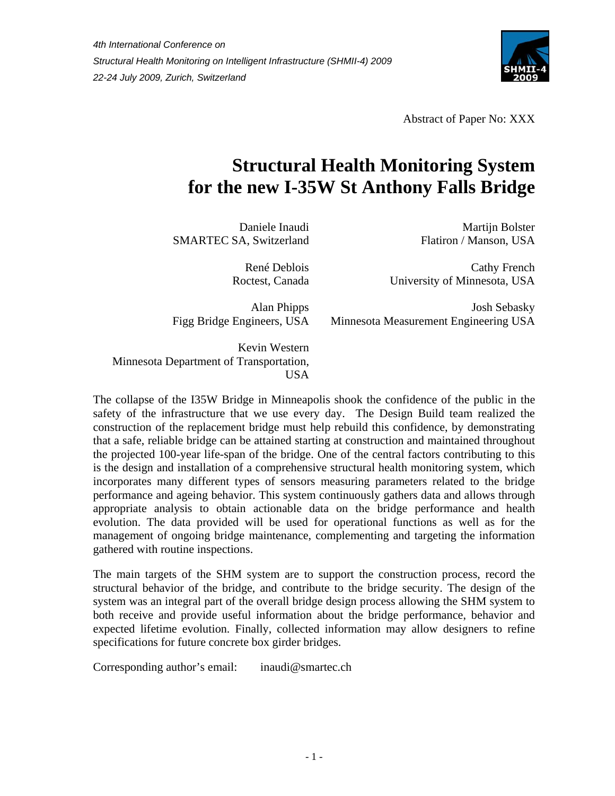

Abstract of Paper No: XXX

# **Structural Health Monitoring System for the new I-35W St Anthony Falls Bridge**

Daniele Inaudi SMARTEC SA, Switzerland

> René Deblois Roctest, Canada

Alan Phipps Figg Bridge Engineers, USA

Martijn Bolster Flatiron / Manson, USA

Cathy French University of Minnesota, USA

Josh Sebasky Minnesota Measurement Engineering USA

Kevin Western Minnesota Department of Transportation, USA

The collapse of the I35W Bridge in Minneapolis shook the confidence of the public in the safety of the infrastructure that we use every day. The Design Build team realized the construction of the replacement bridge must help rebuild this confidence, by demonstrating that a safe, reliable bridge can be attained starting at construction and maintained throughout the projected 100-year life-span of the bridge. One of the central factors contributing to this is the design and installation of a comprehensive structural health monitoring system, which incorporates many different types of sensors measuring parameters related to the bridge performance and ageing behavior. This system continuously gathers data and allows through appropriate analysis to obtain actionable data on the bridge performance and health evolution. The data provided will be used for operational functions as well as for the management of ongoing bridge maintenance, complementing and targeting the information gathered with routine inspections.

The main targets of the SHM system are to support the construction process, record the structural behavior of the bridge, and contribute to the bridge security. The design of the system was an integral part of the overall bridge design process allowing the SHM system to both receive and provide useful information about the bridge performance, behavior and expected lifetime evolution. Finally, collected information may allow designers to refine specifications for future concrete box girder bridges.

Corresponding author's email: inaudi@smartec.ch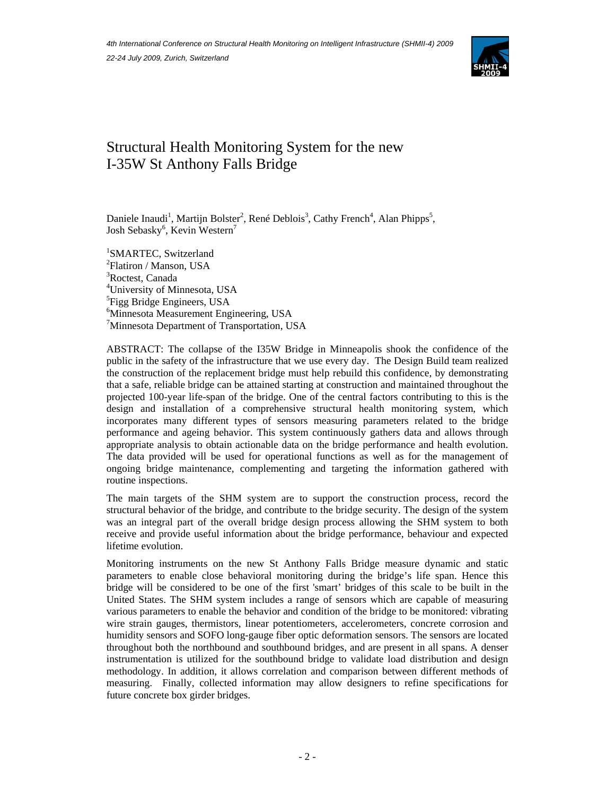

# Structural Health Monitoring System for the new I-35W St Anthony Falls Bridge

Daniele Inaudi<sup>1</sup>, Martijn Bolster<sup>2</sup>, René Deblois<sup>3</sup>, Cathy French<sup>4</sup>, Alan Phipps<sup>5</sup>, Josh Sebasky<sup>6</sup>, Kevin Western<sup>7</sup>

 SMARTEC, Switzerland <sup>2</sup>Flatiron / Manson, USA Roctest, Canada University of Minnesota, USA <sup>5</sup>Figg Bridge Engineers, USA Minnesota Measurement Engineering, USA Minnesota Department of Transportation, USA

ABSTRACT: The collapse of the I35W Bridge in Minneapolis shook the confidence of the public in the safety of the infrastructure that we use every day. The Design Build team realized the construction of the replacement bridge must help rebuild this confidence, by demonstrating that a safe, reliable bridge can be attained starting at construction and maintained throughout the projected 100-year life-span of the bridge. One of the central factors contributing to this is the design and installation of a comprehensive structural health monitoring system, which incorporates many different types of sensors measuring parameters related to the bridge performance and ageing behavior. This system continuously gathers data and allows through appropriate analysis to obtain actionable data on the bridge performance and health evolution. The data provided will be used for operational functions as well as for the management of ongoing bridge maintenance, complementing and targeting the information gathered with routine inspections.

The main targets of the SHM system are to support the construction process, record the structural behavior of the bridge, and contribute to the bridge security. The design of the system was an integral part of the overall bridge design process allowing the SHM system to both receive and provide useful information about the bridge performance, behaviour and expected lifetime evolution.

Monitoring instruments on the new St Anthony Falls Bridge measure dynamic and static parameters to enable close behavioral monitoring during the bridge's life span. Hence this bridge will be considered to be one of the first 'smart' bridges of this scale to be built in the United States. The SHM system includes a range of sensors which are capable of measuring various parameters to enable the behavior and condition of the bridge to be monitored: vibrating wire strain gauges, thermistors, linear potentiometers, accelerometers, concrete corrosion and humidity sensors and SOFO long-gauge fiber optic deformation sensors. The sensors are located throughout both the northbound and southbound bridges, and are present in all spans. A denser instrumentation is utilized for the southbound bridge to validate load distribution and design methodology. In addition, it allows correlation and comparison between different methods of measuring. Finally, collected information may allow designers to refine specifications for future concrete box girder bridges.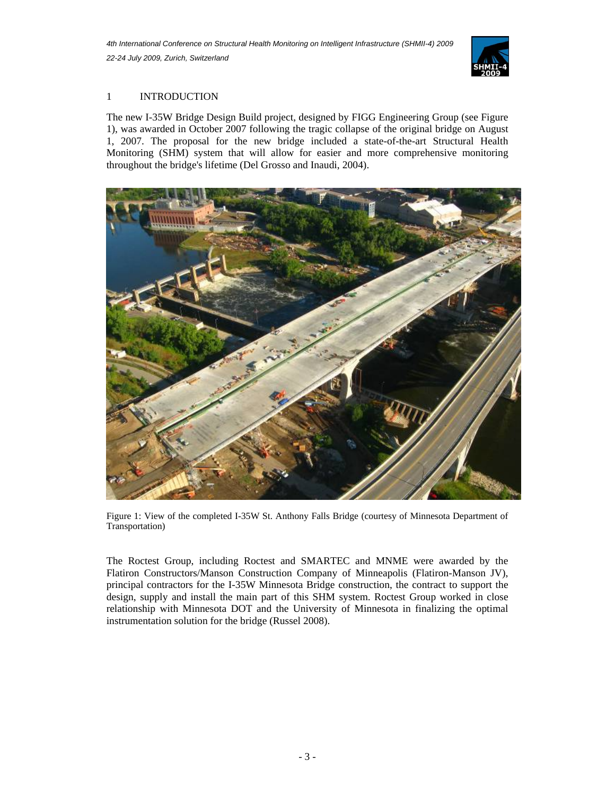

# 1 INTRODUCTION

The new I-35W Bridge Design Build project, designed by FIGG Engineering Group (see Figure 1), was awarded in October 2007 following the tragic collapse of the original bridge on August 1, 2007. The proposal for the new bridge included a state-of-the-art Structural Health Monitoring (SHM) system that will allow for easier and more comprehensive monitoring throughout the bridge's lifetime (Del Grosso and Inaudi, 2004).



Figure 1: View of the completed I-35W St. Anthony Falls Bridge (courtesy of Minnesota Department of Transportation)

The Roctest Group, including Roctest and SMARTEC and MNME were awarded by the Flatiron Constructors/Manson Construction Company of Minneapolis (Flatiron-Manson JV), principal contractors for the I-35W Minnesota Bridge construction, the contract to support the design, supply and install the main part of this SHM system. Roctest Group worked in close relationship with Minnesota DOT and the University of Minnesota in finalizing the optimal instrumentation solution for the bridge (Russel 2008).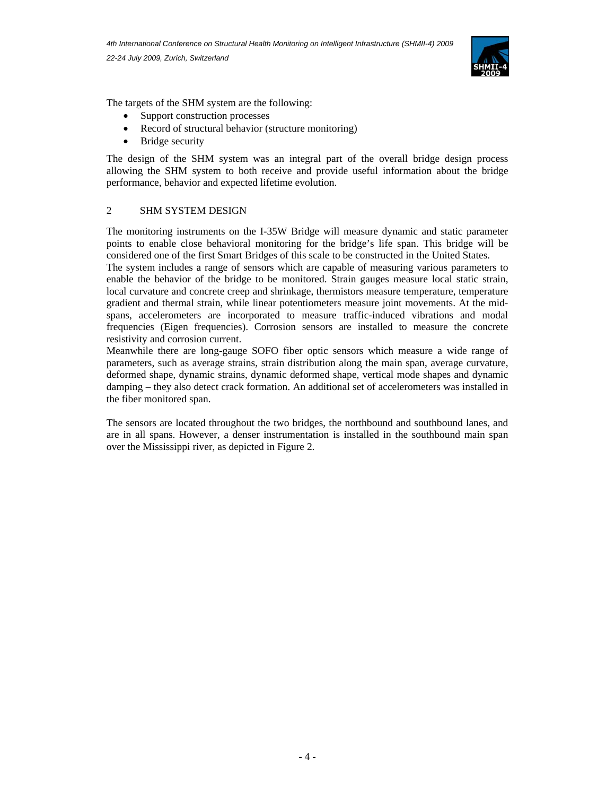

The targets of the SHM system are the following:

- Support construction processes
- Record of structural behavior (structure monitoring)
- Bridge security

The design of the SHM system was an integral part of the overall bridge design process allowing the SHM system to both receive and provide useful information about the bridge performance, behavior and expected lifetime evolution.

# 2 SHM SYSTEM DESIGN

The monitoring instruments on the I-35W Bridge will measure dynamic and static parameter points to enable close behavioral monitoring for the bridge's life span. This bridge will be considered one of the first Smart Bridges of this scale to be constructed in the United States.

The system includes a range of sensors which are capable of measuring various parameters to enable the behavior of the bridge to be monitored. Strain gauges measure local static strain, local curvature and concrete creep and shrinkage, thermistors measure temperature, temperature gradient and thermal strain, while linear potentiometers measure joint movements. At the midspans, accelerometers are incorporated to measure traffic-induced vibrations and modal frequencies (Eigen frequencies). Corrosion sensors are installed to measure the concrete resistivity and corrosion current.

Meanwhile there are long-gauge SOFO fiber optic sensors which measure a wide range of parameters, such as average strains, strain distribution along the main span, average curvature, deformed shape, dynamic strains, dynamic deformed shape, vertical mode shapes and dynamic damping – they also detect crack formation. An additional set of accelerometers was installed in the fiber monitored span.

The sensors are located throughout the two bridges, the northbound and southbound lanes, and are in all spans. However, a denser instrumentation is installed in the southbound main span over the Mississippi river, as depicted in Figure 2.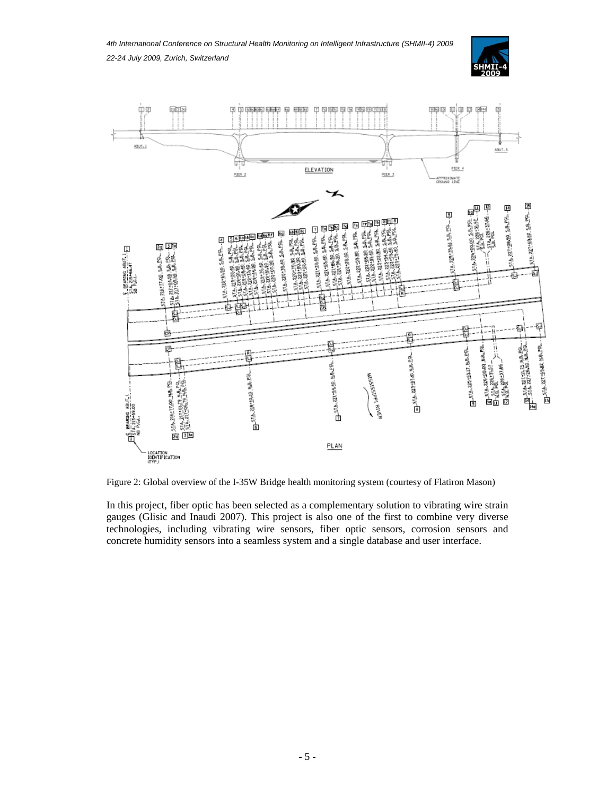*4th International Conference on Structural Health Monitoring on Intelligent Infrastructure (SHMII-4) 2009 22-24 July 2009, Zurich, Switzerland* 





Figure 2: Global overview of the I-35W Bridge health monitoring system (courtesy of Flatiron Mason)

In this project, fiber optic has been selected as a complementary solution to vibrating wire strain gauges (Glisic and Inaudi 2007). This project is also one of the first to combine very diverse technologies, including vibrating wire sensors, fiber optic sensors, corrosion sensors and concrete humidity sensors into a seamless system and a single database and user interface.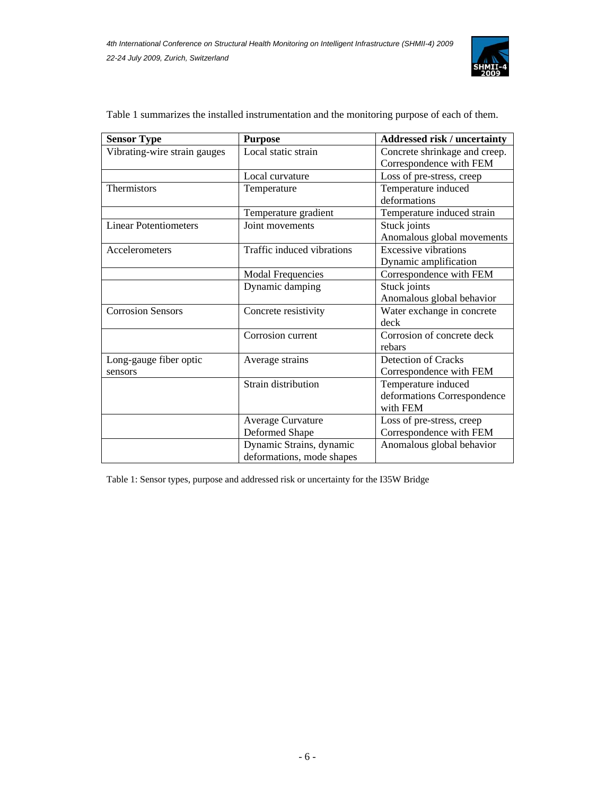

| <b>Sensor Type</b>           | <b>Purpose</b>             | <b>Addressed risk / uncertainty</b>                      |
|------------------------------|----------------------------|----------------------------------------------------------|
| Vibrating-wire strain gauges | Local static strain        | Concrete shrinkage and creep.<br>Correspondence with FEM |
|                              | Local curvature            | Loss of pre-stress, creep                                |
| Thermistors                  | Temperature                | Temperature induced                                      |
|                              |                            | deformations                                             |
|                              | Temperature gradient       | Temperature induced strain                               |
| <b>Linear Potentiometers</b> | Joint movements            | Stuck joints                                             |
|                              |                            | Anomalous global movements                               |
| Accelerometers               | Traffic induced vibrations | <b>Excessive vibrations</b>                              |
|                              |                            | Dynamic amplification                                    |
|                              | <b>Modal Frequencies</b>   | Correspondence with FEM                                  |
|                              | Dynamic damping            | Stuck joints                                             |
|                              |                            | Anomalous global behavior                                |
| <b>Corrosion Sensors</b>     | Concrete resistivity       | Water exchange in concrete                               |
|                              |                            | deck                                                     |
|                              | Corrosion current          | Corrosion of concrete deck                               |
|                              |                            | rebars                                                   |
| Long-gauge fiber optic       | Average strains            | <b>Detection of Cracks</b>                               |
| sensors                      |                            | Correspondence with FEM                                  |
|                              | Strain distribution        | Temperature induced                                      |
|                              |                            | deformations Correspondence                              |
|                              |                            | with FEM                                                 |
|                              | <b>Average Curvature</b>   | Loss of pre-stress, creep                                |
|                              | <b>Deformed Shape</b>      | Correspondence with FEM                                  |
|                              | Dynamic Strains, dynamic   | Anomalous global behavior                                |
|                              | deformations, mode shapes  |                                                          |

Table 1 summarizes the installed instrumentation and the monitoring purpose of each of them.

Table 1: Sensor types, purpose and addressed risk or uncertainty for the I35W Bridge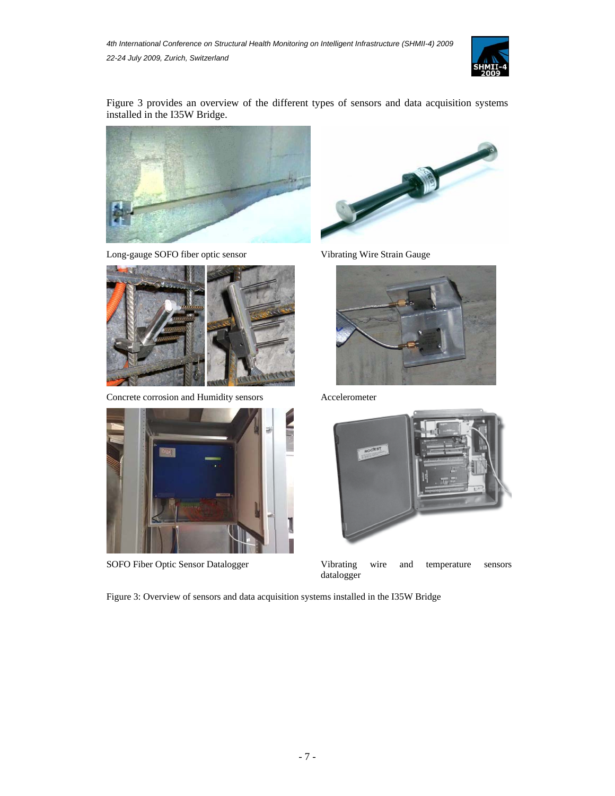

Figure 3 provides an overview of the different types of sensors and data acquisition systems installed in the I35W Bridge.



Long-gauge SOFO fiber optic sensor Vibrating Wire Strain Gauge



Concrete corrosion and Humidity sensors Accelerometer









SOFO Fiber Optic Sensor Datalogger Vibrating wire and temperature sensors datalogger

Figure 3: Overview of sensors and data acquisition systems installed in the I35W Bridge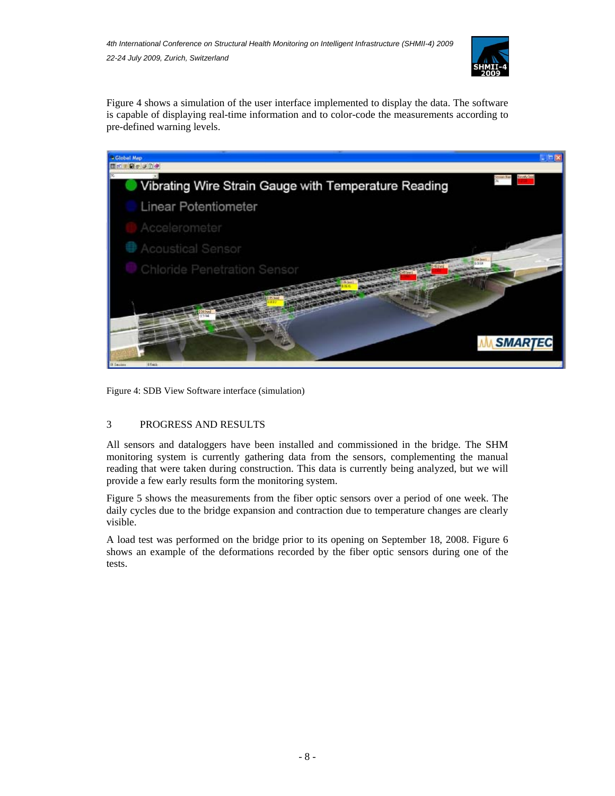

Figure 4 shows a simulation of the user interface implemented to display the data. The software is capable of displaying real-time information and to color-code the measurements according to pre-defined warning levels.



Figure 4: SDB View Software interface (simulation)

### 3 PROGRESS AND RESULTS

All sensors and dataloggers have been installed and commissioned in the bridge. The SHM monitoring system is currently gathering data from the sensors, complementing the manual reading that were taken during construction. This data is currently being analyzed, but we will provide a few early results form the monitoring system.

Figure 5 shows the measurements from the fiber optic sensors over a period of one week. The daily cycles due to the bridge expansion and contraction due to temperature changes are clearly visible.

A load test was performed on the bridge prior to its opening on September 18, 2008. Figure 6 shows an example of the deformations recorded by the fiber optic sensors during one of the tests.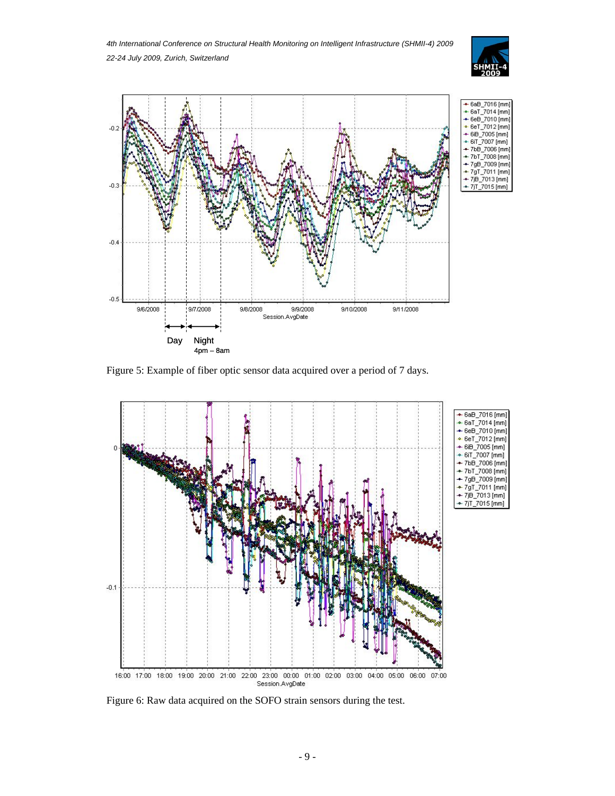*4th International Conference on Structural Health Monitoring on Intelligent Infrastructure (SHMII-4) 2009 22-24 July 2009, Zurich, Switzerland* 





Figure 5: Example of fiber optic sensor data acquired over a period of 7 days.



Figure 6: Raw data acquired on the SOFO strain sensors during the test.